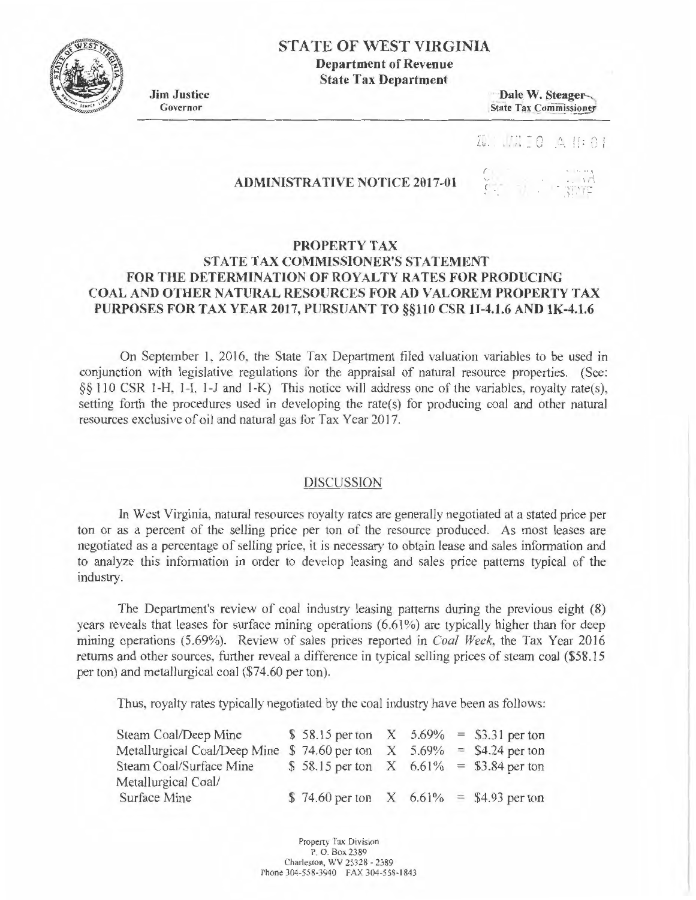**STATE OF WEST VIRGINIA** 

**Department of Revenue State Tax Department** 

**Jim Justice**  Governor

Dale W. Steager-State Tax Commissioner

 $\frac{1}{2}$   $\frac{1}{2}$   $\frac{1}{2}$   $\frac{1}{2}$   $\frac{1}{2}$   $\frac{1}{2}$   $\frac{1}{2}$ 

## **ADMINISTRATIVE NOTICE 2017-01**

*r* . '

## **PROPERTY TAX STATE TAX COMMISSIONER'S STATEMENT** FOR THE DETERMINATION OF ROYALTY RATES FOR PRODUCING **COAL AND OTHER NATURAL RESOURCES FOR AD VALOREM PROPERTY TAX PURPOSES FOR TAX YEAR 2017, PURSUANT TO §§110CSR11-4.1.6 AND lK-4.l.6**

On September **1,** 2016, the State Tax Department filed valuation variables to be used in conjunction with legislative regulations for the appraisal of natural resource properties. (See: §§ 110 CSR 1-H, 1-1, 1-J and 1-K) This notice will address one of the variables, royalty rate(s), setting forth the procedures used in developing the rate(s) for producing coal and other natural resources exclusive of oil and natural gas for Tax Year 2017.

## DISCUSSION

In West Virginia, natural resources royalty rates are generally negotiated at a stated price per ton or as a percent of the selling price per ton of the resource produced. As most leases are negotiated as a percentage of selling price, it is necessary to obtain lease and sales information and to analyze this information in order to develop leasing and sales price patterns typical of the industry.

The Department's review of coal industry leasing patterns during the previous eight (8) years reveals that leases for surface mining operations (6.61%) are typically higher than for deep mining operations (5.69%). Review of sales prices reported in *Coal Week,* the Tax Year 2016 returns and other sources, further reveal a difference in typical selling prices of steam coal (\$58.15 per ton) and metallurgical coal (\$74.60 per ton).

Thus, royalty rates typically negotiated by the coal industry have been as follows:

| Steam Coal/Deep Mine                                                       | \$ 58.15 per ton $X$ 5.69% = \$3.31 per ton |  |  |
|----------------------------------------------------------------------------|---------------------------------------------|--|--|
| Metallurgical Coal/Deep Mine $$74.60$ per ton $X$ $5.69\% = $4.24$ per ton |                                             |  |  |
| Steam Coal/Surface Mine                                                    | \$ 58.15 per ton $X$ 6.61% = \$3.84 per ton |  |  |
| Metallurgical Coal/                                                        |                                             |  |  |
| <b>Surface Mine</b>                                                        | \$74.60 per ton $X$ 6.61% = \$4.93 per ton  |  |  |

Property Tax Division P. O. Box 2389 Charleston, WV 25328 - 2389 Phone 304-558-3940 FAX 304-558-1843